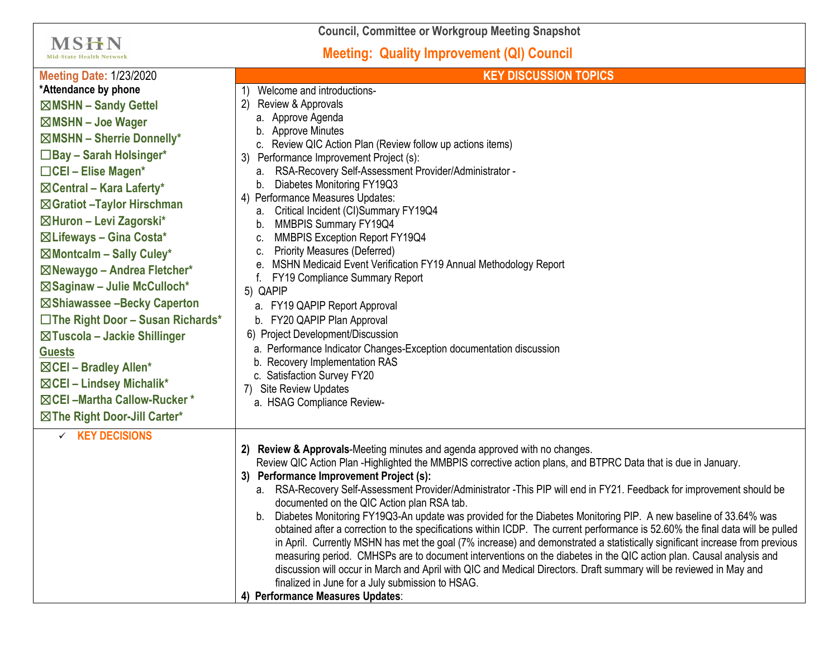| <b>Council, Committee or Workgroup Meeting Snapshot</b>                                                                                                                                                                                                                                                                                                                                                                                                                                                                                                                                                                                                              |                                                                                                                                                                                                                                                                                                                                                                                                                                                                                                                                                                                                                                                                                                                                                                                                                                                                                                                                                                                                                                                                                                                                                |  |
|----------------------------------------------------------------------------------------------------------------------------------------------------------------------------------------------------------------------------------------------------------------------------------------------------------------------------------------------------------------------------------------------------------------------------------------------------------------------------------------------------------------------------------------------------------------------------------------------------------------------------------------------------------------------|------------------------------------------------------------------------------------------------------------------------------------------------------------------------------------------------------------------------------------------------------------------------------------------------------------------------------------------------------------------------------------------------------------------------------------------------------------------------------------------------------------------------------------------------------------------------------------------------------------------------------------------------------------------------------------------------------------------------------------------------------------------------------------------------------------------------------------------------------------------------------------------------------------------------------------------------------------------------------------------------------------------------------------------------------------------------------------------------------------------------------------------------|--|
| MSHN<br><b>Mid-State Health Network</b>                                                                                                                                                                                                                                                                                                                                                                                                                                                                                                                                                                                                                              | <b>Meeting: Quality Improvement (QI) Council</b>                                                                                                                                                                                                                                                                                                                                                                                                                                                                                                                                                                                                                                                                                                                                                                                                                                                                                                                                                                                                                                                                                               |  |
| <b>Meeting Date: 1/23/2020</b><br>*Attendance by phone<br>⊠MSHN - Sandy Gettel<br>$\boxtimes$ MSHN - Joe Wager<br>$\boxtimes$ MSHN - Sherrie Donnelly*<br>$\Box$ Bay - Sarah Holsinger*<br>$\Box$ CEI – Elise Magen*<br>$\boxtimes$ Central – Kara Laferty*<br>⊠Gratiot - Taylor Hirschman<br>⊠Huron - Levi Zagorski*<br>⊠Lifeways - Gina Costa*<br>$\boxtimes$ Montcalm - Sally Culey*<br>⊠Newaygo - Andrea Fletcher*<br>⊠Saginaw - Julie McCulloch*<br>⊠Shiawassee -Becky Caperton<br>$\Box$ The Right Door - Susan Richards*<br>⊠Tuscola – Jackie Shillinger<br><b>Guests</b><br>⊠CEI - Bradley Allen*<br>⊠CEI - Lindsey Michalik*<br>⊠ CEI-Martha Callow-Rucker* | <b>KEY DISCUSSION TOPICS</b><br>Welcome and introductions-<br>Review & Approvals<br>$\mathbf{2}$<br>a. Approve Agenda<br><b>Approve Minutes</b><br>c. Review QIC Action Plan (Review follow up actions items)<br>Performance Improvement Project (s):<br>3)<br>RSA-Recovery Self-Assessment Provider/Administrator -<br>а.<br>Diabetes Monitoring FY19Q3<br>b.<br>4) Performance Measures Updates:<br>a. Critical Incident (CI)Summary FY19Q4<br>MMBPIS Summary FY19Q4<br>b.<br>MMBPIS Exception Report FY19Q4<br>C.<br><b>Priority Measures (Deferred)</b><br>C.<br>MSHN Medicaid Event Verification FY19 Annual Methodology Report<br>е.<br><b>FY19 Compliance Summary Report</b><br>5) QAPIP<br>a. FY19 QAPIP Report Approval<br>b. FY20 QAPIP Plan Approval<br>6) Project Development/Discussion<br>a. Performance Indicator Changes-Exception documentation discussion<br>b. Recovery Implementation RAS<br>c. Satisfaction Survey FY20<br><b>Site Review Updates</b><br>7)<br>a. HSAG Compliance Review-                                                                                                                                 |  |
| $\times$ KEY DECISIONS                                                                                                                                                                                                                                                                                                                                                                                                                                                                                                                                                                                                                                               | Review & Approvals-Meeting minutes and agenda approved with no changes.<br>Review QIC Action Plan -Highlighted the MMBPIS corrective action plans, and BTPRC Data that is due in January.<br><b>Performance Improvement Project (s):</b><br>a. RSA-Recovery Self-Assessment Provider/Administrator - This PIP will end in FY21. Feedback for improvement should be<br>documented on the QIC Action plan RSA tab.<br>Diabetes Monitoring FY19Q3-An update was provided for the Diabetes Monitoring PIP. A new baseline of 33.64% was<br>b.<br>obtained after a correction to the specifications within ICDP. The current performance is 52.60% the final data will be pulled<br>in April. Currently MSHN has met the goal (7% increase) and demonstrated a statistically significant increase from previous<br>measuring period. CMHSPs are to document interventions on the diabetes in the QIC action plan. Causal analysis and<br>discussion will occur in March and April with QIC and Medical Directors. Draft summary will be reviewed in May and<br>finalized in June for a July submission to HSAG.<br>4) Performance Measures Updates: |  |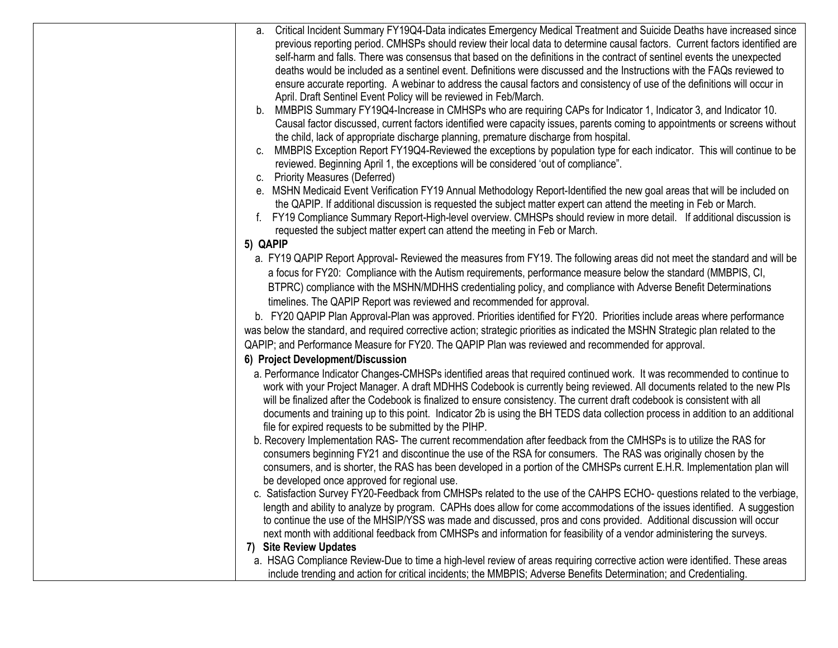| a. Critical Incident Summary FY19Q4-Data indicates Emergency Medical Treatment and Suicide Deaths have increased since           |
|----------------------------------------------------------------------------------------------------------------------------------|
| previous reporting period. CMHSPs should review their local data to determine causal factors. Current factors identified are     |
| self-harm and falls. There was consensus that based on the definitions in the contract of sentinel events the unexpected         |
| deaths would be included as a sentinel event. Definitions were discussed and the Instructions with the FAQs reviewed to          |
| ensure accurate reporting. A webinar to address the causal factors and consistency of use of the definitions will occur in       |
| April. Draft Sentinel Event Policy will be reviewed in Feb/March.                                                                |
| b. MMBPIS Summary FY19Q4-Increase in CMHSPs who are requiring CAPs for Indicator 1, Indicator 3, and Indicator 10.               |
| Causal factor discussed, current factors identified were capacity issues, parents coming to appointments or screens without      |
| the child, lack of appropriate discharge planning, premature discharge from hospital.                                            |
| MMBPIS Exception Report FY19Q4-Reviewed the exceptions by population type for each indicator. This will continue to be<br>C.     |
| reviewed. Beginning April 1, the exceptions will be considered 'out of compliance".                                              |
| c. Priority Measures (Deferred)                                                                                                  |
| e. MSHN Medicaid Event Verification FY19 Annual Methodology Report-Identified the new goal areas that will be included on        |
| the QAPIP. If additional discussion is requested the subject matter expert can attend the meeting in Feb or March.               |
| FY19 Compliance Summary Report-High-level overview. CMHSPs should review in more detail. If additional discussion is             |
| requested the subject matter expert can attend the meeting in Feb or March.                                                      |
| 5) QAPIP                                                                                                                         |
| a. FY19 QAPIP Report Approval- Reviewed the measures from FY19. The following areas did not meet the standard and will be        |
| a focus for FY20: Compliance with the Autism requirements, performance measure below the standard (MMBPIS, CI,                   |
| BTPRC) compliance with the MSHN/MDHHS credentialing policy, and compliance with Adverse Benefit Determinations                   |
| timelines. The QAPIP Report was reviewed and recommended for approval.                                                           |
| b. FY20 QAPIP Plan Approval-Plan was approved. Priorities identified for FY20. Priorities include areas where performance        |
| was below the standard, and required corrective action; strategic priorities as indicated the MSHN Strategic plan related to the |
| QAPIP; and Performance Measure for FY20. The QAPIP Plan was reviewed and recommended for approval.                               |
| 6) Project Development/Discussion                                                                                                |
| a. Performance Indicator Changes-CMHSPs identified areas that required continued work. It was recommended to continue to         |
| work with your Project Manager. A draft MDHHS Codebook is currently being reviewed. All documents related to the new PIs         |
| will be finalized after the Codebook is finalized to ensure consistency. The current draft codebook is consistent with all       |
| documents and training up to this point. Indicator 2b is using the BH TEDS data collection process in addition to an additional  |
| file for expired requests to be submitted by the PIHP.                                                                           |
| b. Recovery Implementation RAS- The current recommendation after feedback from the CMHSPs is to utilize the RAS for              |
| consumers beginning FY21 and discontinue the use of the RSA for consumers. The RAS was originally chosen by the                  |
| consumers, and is shorter, the RAS has been developed in a portion of the CMHSPs current E.H.R. Implementation plan will         |
| be developed once approved for regional use.                                                                                     |
| c. Satisfaction Survey FY20-Feedback from CMHSPs related to the use of the CAHPS ECHO- questions related to the verbiage,        |
| length and ability to analyze by program. CAPHs does allow for come accommodations of the issues identified. A suggestion        |
| to continue the use of the MHSIP/YSS was made and discussed, pros and cons provided. Additional discussion will occur            |
| next month with additional feedback from CMHSPs and information for feasibility of a vendor administering the surveys.           |
| 7) Site Review Updates                                                                                                           |
| a. HSAG Compliance Review-Due to time a high-level review of areas requiring corrective action were identified. These areas      |
| include trending and action for critical incidents; the MMBPIS; Adverse Benefits Determination; and Credentialing.               |